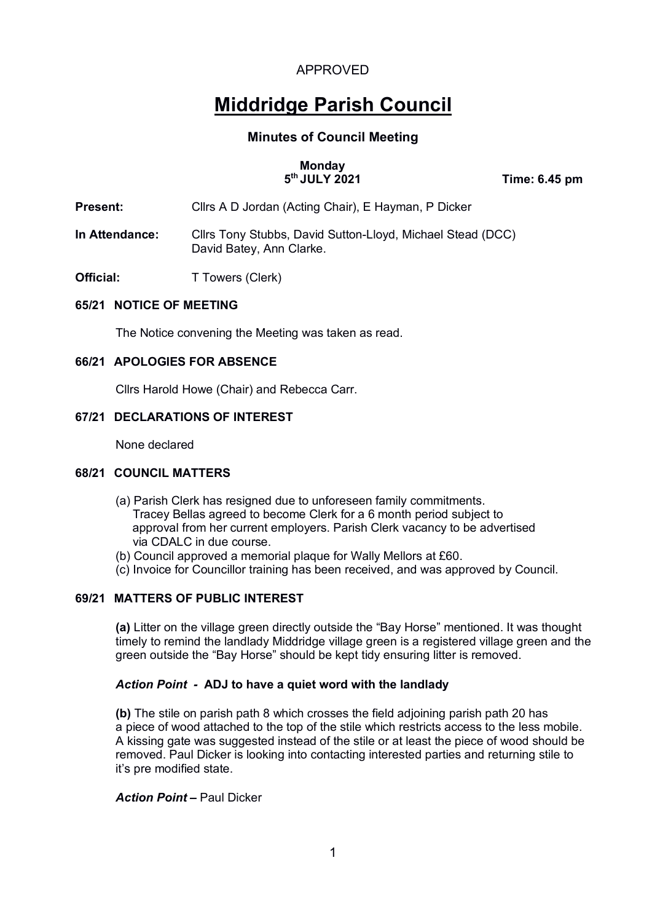# **Middridge Parish Council**

## **Minutes of Council Meeting**

#### **Monday 5th JULY 2021 Time: 6.45 pm**

- **Present:** Cllrs A D Jordan (Acting Chair), E Hayman, P Dicker
- **In Attendance:** Cllrs Tony Stubbs, David Sutton-Lloyd, Michael Stead (DCC) David Batey, Ann Clarke.
- **Official:** T Towers (Clerk)

## **65/21 NOTICE OF MEETING**

The Notice convening the Meeting was taken as read.

## **66/21 APOLOGIES FOR ABSENCE**

Cllrs Harold Howe (Chair) and Rebecca Carr.

## **67/21 DECLARATIONS OF INTEREST**

None declared

## **68/21 COUNCIL MATTERS**

- (a) Parish Clerk has resigned due to unforeseen family commitments. Tracey Bellas agreed to become Clerk for a 6 month period subject to approval from her current employers. Parish Clerk vacancy to be advertised via CDALC in due course.
- (b) Council approved a memorial plaque for Wally Mellors at £60.
- (c) Invoice for Councillor training has been received, and was approved by Council.

## **69/21 MATTERS OF PUBLIC INTEREST**

**(a)** Litter on the village green directly outside the "Bay Horse" mentioned. It was thought timely to remind the landlady Middridge village green is a registered village green and the green outside the "Bay Horse" should be kept tidy ensuring litter is removed.

## *Action Point -* **ADJ to have a quiet word with the landlady**

**(b)** The stile on parish path 8 which crosses the field adjoining parish path 20 has a piece of wood attached to the top of the stile which restricts access to the less mobile. A kissing gate was suggested instead of the stile or at least the piece of wood should be removed. Paul Dicker is looking into contacting interested parties and returning stile to it's pre modified state.

*Action Point –* Paul Dicker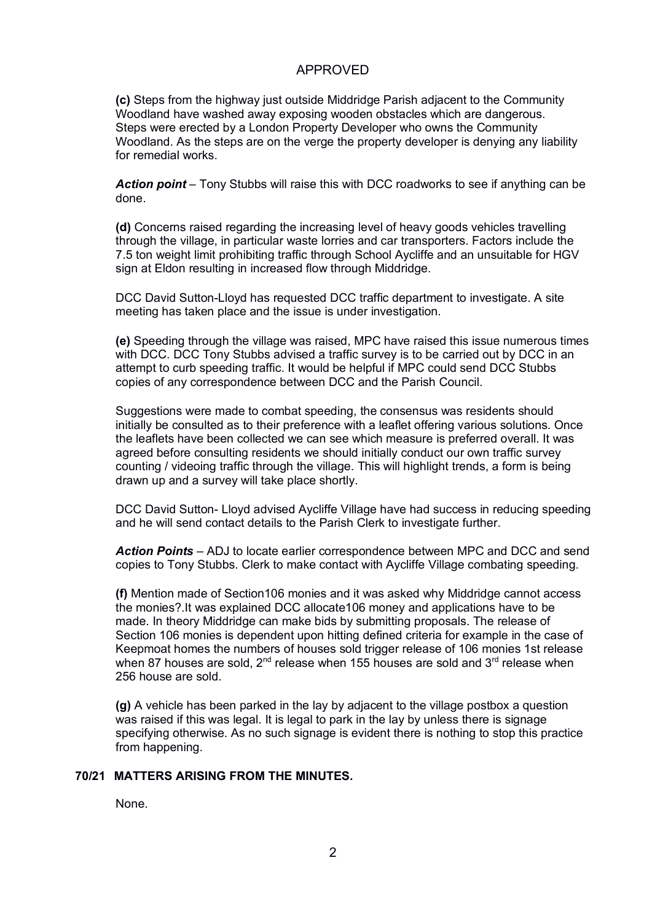**(c)** Steps from the highway just outside Middridge Parish adjacent to the Community Woodland have washed away exposing wooden obstacles which are dangerous. Steps were erected by a London Property Developer who owns the Community Woodland. As the steps are on the verge the property developer is denying any liability for remedial works.

*Action point* – Tony Stubbs will raise this with DCC roadworks to see if anything can be done.

**(d)** Concerns raised regarding the increasing level of heavy goods vehicles travelling through the village, in particular waste lorries and car transporters. Factors include the 7.5 ton weight limit prohibiting traffic through School Aycliffe and an unsuitable for HGV sign at Eldon resulting in increased flow through Middridge.

DCC David Sutton-Lloyd has requested DCC traffic department to investigate. A site meeting has taken place and the issue is under investigation.

**(e)** Speeding through the village was raised, MPC have raised this issue numerous times with DCC. DCC Tony Stubbs advised a traffic survey is to be carried out by DCC in an attempt to curb speeding traffic. It would be helpful if MPC could send DCC Stubbs copies of any correspondence between DCC and the Parish Council.

Suggestions were made to combat speeding, the consensus was residents should initially be consulted as to their preference with a leaflet offering various solutions. Once the leaflets have been collected we can see which measure is preferred overall. It was agreed before consulting residents we should initially conduct our own traffic survey counting / videoing traffic through the village. This will highlight trends, a form is being drawn up and a survey will take place shortly.

DCC David Sutton- Lloyd advised Aycliffe Village have had success in reducing speeding and he will send contact details to the Parish Clerk to investigate further.

*Action Points* – ADJ to locate earlier correspondence between MPC and DCC and send copies to Tony Stubbs. Clerk to make contact with Aycliffe Village combating speeding.

**(f)** Mention made of Section106 monies and it was asked why Middridge cannot access the monies?.It was explained DCC allocate106 money and applications have to be made. In theory Middridge can make bids by submitting proposals. The release of Section 106 monies is dependent upon hitting defined criteria for example in the case of Keepmoat homes the numbers of houses sold trigger release of 106 monies 1st release when 87 houses are sold,  $2^{nd}$  release when 155 houses are sold and  $3^{rd}$  release when 256 house are sold.

**(g)** A vehicle has been parked in the lay by adjacent to the village postbox a question was raised if this was legal. It is legal to park in the lay by unless there is signage specifying otherwise. As no such signage is evident there is nothing to stop this practice from happening.

#### **70/21 MATTERS ARISING FROM THE MINUTES.**

None.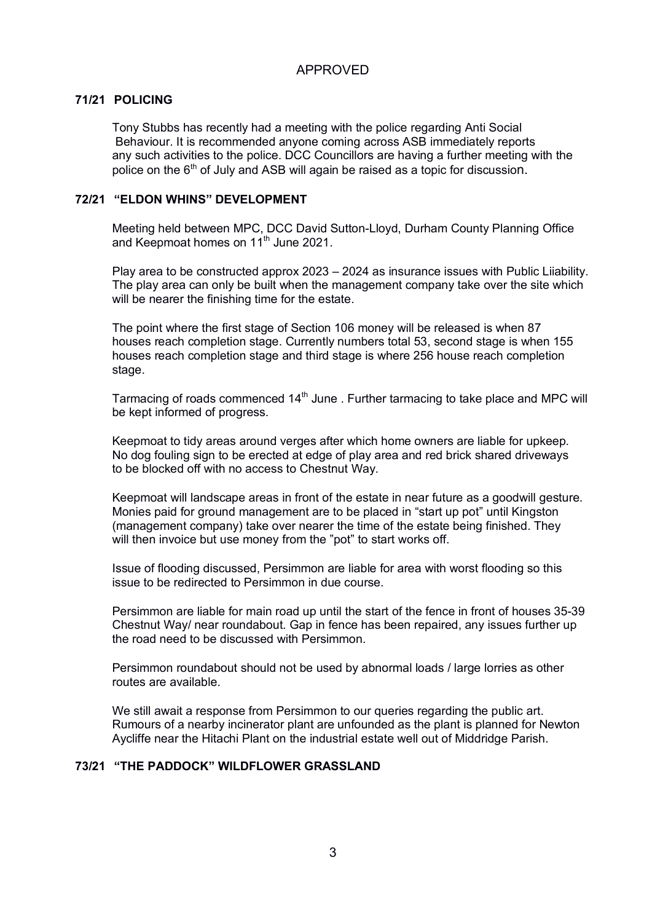## **71/21 POLICING**

Tony Stubbs has recently had a meeting with the police regarding Anti Social Behaviour. It is recommended anyone coming across ASB immediately reports any such activities to the police. DCC Councillors are having a further meeting with the police on the 6<sup>th</sup> of July and ASB will again be raised as a topic for discussion.

## **72/21 "ELDON WHINS" DEVELOPMENT**

Meeting held between MPC, DCC David Sutton-Lloyd, Durham County Planning Office and Keepmoat homes on 11<sup>th</sup> June 2021.

 Play area to be constructed approx 2023 – 2024 as insurance issues with Public Liiability. The play area can only be built when the management company take over the site which will be nearer the finishing time for the estate.

 The point where the first stage of Section 106 money will be released is when 87 houses reach completion stage. Currently numbers total 53, second stage is when 155 houses reach completion stage and third stage is where 256 house reach completion stage.

Tarmacing of roads commenced  $14<sup>th</sup>$  June . Further tarmacing to take place and MPC will be kept informed of progress.

 Keepmoat to tidy areas around verges after which home owners are liable for upkeep. No dog fouling sign to be erected at edge of play area and red brick shared driveways to be blocked off with no access to Chestnut Way.

 Keepmoat will landscape areas in front of the estate in near future as a goodwill gesture. Monies paid for ground management are to be placed in "start up pot" until Kingston (management company) take over nearer the time of the estate being finished. They will then invoice but use money from the "pot" to start works off.

 Issue of flooding discussed, Persimmon are liable for area with worst flooding so this issue to be redirected to Persimmon in due course.

 Persimmon are liable for main road up until the start of the fence in front of houses 35-39 Chestnut Way/ near roundabout. Gap in fence has been repaired, any issues further up the road need to be discussed with Persimmon.

 Persimmon roundabout should not be used by abnormal loads / large lorries as other routes are available.

 We still await a response from Persimmon to our queries regarding the public art. Rumours of a nearby incinerator plant are unfounded as the plant is planned for Newton Aycliffe near the Hitachi Plant on the industrial estate well out of Middridge Parish.

## **73/21 "THE PADDOCK" WILDFLOWER GRASSLAND**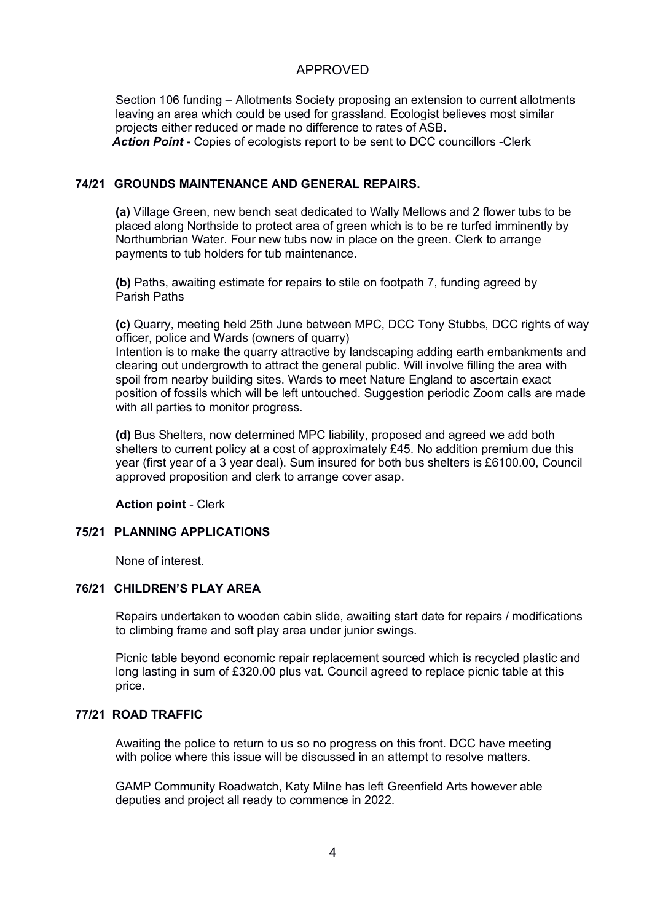Section 106 funding – Allotments Society proposing an extension to current allotments leaving an area which could be used for grassland. Ecologist believes most similar projects either reduced or made no difference to rates of ASB. *Action Point* **-** Copies of ecologists report to be sent to DCC councillors -Clerk

## **74/21 GROUNDS MAINTENANCE AND GENERAL REPAIRS.**

 **(a)** Village Green, new bench seat dedicated to Wally Mellows and 2 flower tubs to be placed along Northside to protect area of green which is to be re turfed imminently by Northumbrian Water. Four new tubs now in place on the green. Clerk to arrange payments to tub holders for tub maintenance.

 **(b)** Paths, awaiting estimate for repairs to stile on footpath 7, funding agreed by Parish Paths

**(c)** Quarry, meeting held 25th June between MPC, DCC Tony Stubbs, DCC rights of way officer, police and Wards (owners of quarry)

Intention is to make the quarry attractive by landscaping adding earth embankments and clearing out undergrowth to attract the general public. Will involve filling the area with spoil from nearby building sites. Wards to meet Nature England to ascertain exact position of fossils which will be left untouched. Suggestion periodic Zoom calls are made with all parties to monitor progress.

**(d)** Bus Shelters, now determined MPC liability, proposed and agreed we add both shelters to current policy at a cost of approximately £45. No addition premium due this year (first year of a 3 year deal). Sum insured for both bus shelters is £6100.00, Council approved proposition and clerk to arrange cover asap.

**Action point** - Clerk

## **75/21 PLANNING APPLICATIONS**

None of interest.

## **76/21 CHILDREN'S PLAY AREA**

Repairs undertaken to wooden cabin slide, awaiting start date for repairs / modifications to climbing frame and soft play area under junior swings.

Picnic table beyond economic repair replacement sourced which is recycled plastic and long lasting in sum of £320.00 plus vat. Council agreed to replace picnic table at this price.

#### **77/21 ROAD TRAFFIC**

Awaiting the police to return to us so no progress on this front. DCC have meeting with police where this issue will be discussed in an attempt to resolve matters.

 GAMP Community Roadwatch, Katy Milne has left Greenfield Arts however able deputies and project all ready to commence in 2022.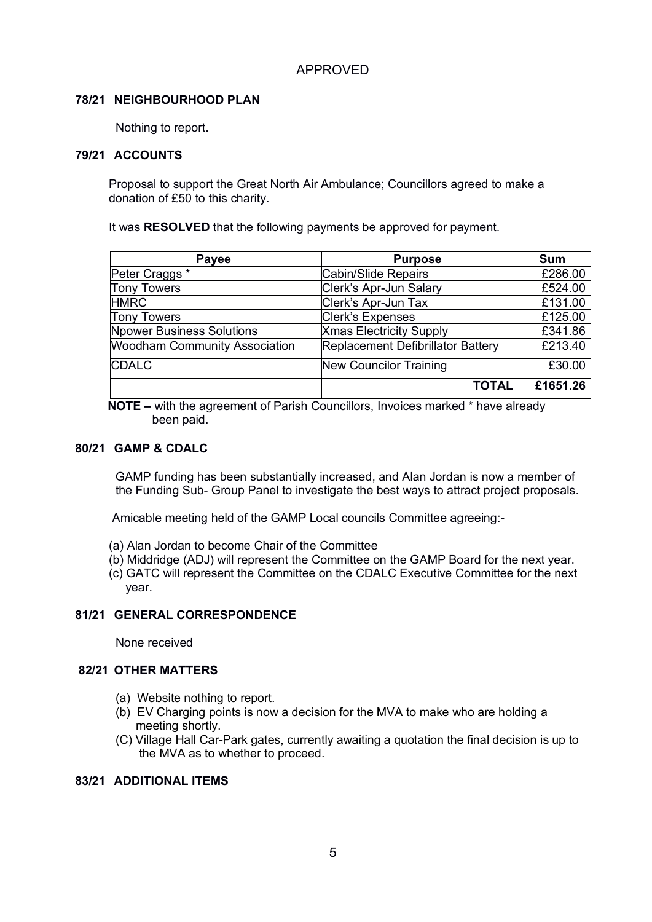## **78/21 NEIGHBOURHOOD PLAN**

Nothing to report.

## **79/21 ACCOUNTS**

Proposal to support the Great North Air Ambulance; Councillors agreed to make a donation of £50 to this charity.

It was **RESOLVED** that the following payments be approved for payment.

| <b>Payee</b>                         | <b>Purpose</b>                    | <b>Sum</b> |
|--------------------------------------|-----------------------------------|------------|
| Peter Craggs *                       | Cabin/Slide Repairs               | £286.00    |
| <b>Tony Towers</b>                   | Clerk's Apr-Jun Salary            | £524.00    |
| <b>HMRC</b>                          | Clerk's Apr-Jun Tax               | £131.00    |
| <b>Tony Towers</b>                   | <b>Clerk's Expenses</b>           | £125.00    |
| <b>Npower Business Solutions</b>     | <b>Xmas Electricity Supply</b>    | £341.86    |
| <b>Woodham Community Association</b> | Replacement Defibrillator Battery | £213.40    |
| <b>CDALC</b>                         | <b>New Councilor Training</b>     | £30.00     |
|                                      | <b>TOTAL</b>                      | £1651.26   |

 **NOTE –** with the agreement of Parish Councillors, Invoices marked \* have already been paid.

## **80/21 GAMP & CDALC**

GAMP funding has been substantially increased, and Alan Jordan is now a member of the Funding Sub- Group Panel to investigate the best ways to attract project proposals.

Amicable meeting held of the GAMP Local councils Committee agreeing:-

- (a) Alan Jordan to become Chair of the Committee
- (b) Middridge (ADJ) will represent the Committee on the GAMP Board for the next year.
- (c) GATC will represent the Committee on the CDALC Executive Committee for the next year.

## **81/21 GENERAL CORRESPONDENCE**

None received

## **82/21 OTHER MATTERS**

- (a) Website nothing to report.
- (b) EV Charging points is now a decision for the MVA to make who are holding a meeting shortly.
- (C) Village Hall Car-Park gates, currently awaiting a quotation the final decision is up to the MVA as to whether to proceed.

## **83/21 ADDITIONAL ITEMS**